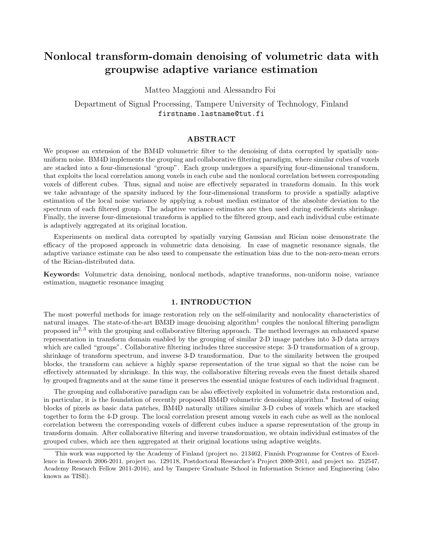# Nonlocal transform-domain denoising of volumetric data with groupwise adaptive variance estimation

Matteo Maggioni and Alessandro Foi

Department of Signal Processing, Tampere University of Technology, Finland firstname.lastname@tut.fi

## ABSTRACT

We propose an extension of the BM4D volumetric filter to the denoising of data corrupted by spatially nonuniform noise. BM4D implements the grouping and collaborative filtering paradigm, where similar cubes of voxels are stacked into a four-dimensional "group". Each group undergoes a sparsifying four-dimensional transform, that exploits the local correlation among voxels in each cube and the nonlocal correlation between corresponding voxels of different cubes. Thus, signal and noise are effectively separated in transform domain. In this work we take advantage of the sparsity induced by the four-dimensional transform to provide a spatially adaptive estimation of the local noise variance by applying a robust median estimator of the absolute deviation to the spectrum of each filtered group. The adaptive variance estimates are then used during coefficients shrinkage. Finally, the inverse four-dimensional transform is applied to the filtered group, and each individual cube estimate is adaptively aggregated at its original location.

Experiments on medical data corrupted by spatially varying Gaussian and Rician noise demonstrate the efficacy of the proposed approach in volumetric data denoising. In case of magnetic resonance signals, the adaptive variance estimate can be also used to compensate the estimation bias due to the non-zero-mean errors of the Rician-distributed data.

Keywords: Volumetric data denoising, nonlocal methods, adaptive transforms, non-uniform noise, variance estimation, magnetic resonance imaging

## 1. INTRODUCTION

The most powerful methods for image restoration rely on the self-similarity and nonlocality characteristics of natural images. The state-of-the-art BM3D image denoising algorithm<sup>1</sup> couples the nonlocal filtering paradigm proposed in<sup>2, 3</sup> with the grouping and collaborative filtering approach. The method leverages an enhanced sparse representation in transform domain enabled by the grouping of similar 2-D image patches into 3-D data arrays which are called "groups". Collaborative filtering includes three successive steps: 3-D transformation of a group, shrinkage of transform spectrum, and inverse 3-D transformation. Due to the similarity between the grouped blocks, the transform can achieve a highly sparse representation of the true signal so that the noise can be effectively attenuated by shrinkage. In this way, the collaborative filtering reveals even the finest details shared by grouped fragments and at the same time it preserves the essential unique features of each individual fragment.

The grouping and collaborative paradigm can be also effectively exploited in volumetric data restoration and, in particular, it is the foundation of recently proposed BM4D volumetric denoising algorithm.<sup>4</sup> Instead of using blocks of pixels as basic data patches, BM4D naturally utilizes similar 3-D cubes of voxels which are stacked together to form the 4-D group. The local correlation present among voxels in each cube as well as the nonlocal correlation between the corresponding voxels of different cubes induce a sparse representation of the group in transform domain. After collaborative filtering and inverse transformation, we obtain individual estimates of the grouped cubes, which are then aggregated at their original locations using adaptive weights.

This work was supported by the Academy of Finland (project no. 213462, Finnish Programme for Centres of Excellence in Research 2006-2011, project no. 129118, Postdoctoral Researcher's Project 2009-2011, and project no. 252547, Academy Research Fellow 2011-2016), and by Tampere Graduate School in Information Science and Engineering (also known as TISE).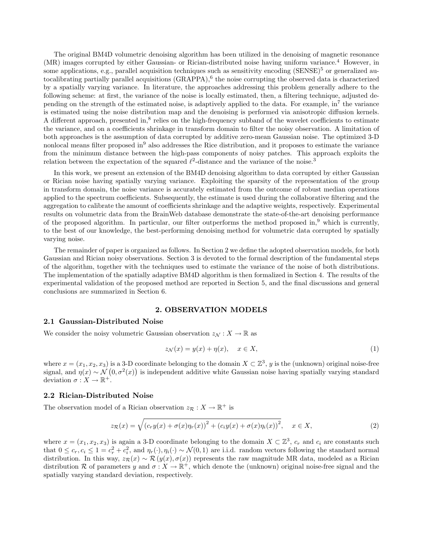The original BM4D volumetric denoising algorithm has been utilized in the denoising of magnetic resonance (MR) images corrupted by either Gaussian- or Rician-distributed noise having uniform variance.<sup>4</sup> However, in some applications, e.g., parallel acquisition techniques such as sensitivity encoding (SENSE)<sup>5</sup> or generalized autocalibrating partially parallel acquisitions (GRAPPA),<sup>6</sup> the noise corrupting the observed data is characterized by a spatially varying variance. In literature, the approaches addressing this problem generally adhere to the following scheme: at first, the variance of the noise is locally estimated, then, a filtering technique, adjusted depending on the strength of the estimated noise, is adaptively applied to the data. For example,  $\ln^7$  the variance is estimated using the noise distribution map and the denoising is performed via anisotropic diffusion kernels. A different approach, presented in,<sup>8</sup> relies on the high-frequency subband of the wavelet coefficients to estimate the variance, and on a coefficients shrinkage in transform domain to filter the noisy observation. A limitation of both approaches is the assumption of data corrupted by additive zero-mean Gaussian noise. The optimized 3-D nonlocal means filter proposed in<sup>9</sup> also addresses the Rice distribution, and it proposes to estimate the variance from the minimum distance between the high-pass components of noisy patches. This approach exploits the relation between the expectation of the squared  $\ell^2$ -distance and the variance of the noise.<sup>3</sup>

In this work, we present an extension of the BM4D denoising algorithm to data corrupted by either Gaussian or Rician noise having spatially varying variance. Exploiting the sparsity of the representation of the group in transform domain, the noise variance is accurately estimated from the outcome of robust median operations applied to the spectrum coefficients. Subsequently, the estimate is used during the collaborative filtering and the aggregation to calibrate the amount of coefficients shrinkage and the adaptive weights, respectively. Experimental results on volumetric data from the BrainWeb database demonstrate the state-of-the-art denoising performance of the proposed algorithm. In particular, our filter outperforms the method proposed in, $9$  which is currently, to the best of our knowledge, the best-performing denoising method for volumetric data corrupted by spatially varying noise.

The remainder of paper is organized as follows. In Section 2 we define the adopted observation models, for both Gaussian and Rician noisy observations. Section 3 is devoted to the formal description of the fundamental steps of the algorithm, together with the techniques used to estimate the variance of the noise of both distributions. The implementation of the spatially adaptive BM4D algorithm is then formalized in Section 4. The results of the experimental validation of the proposed method are reported in Section 5, and the final discussions and general conclusions are summarized in Section 6.

#### 2. OBSERVATION MODELS

### 2.1 Gaussian-Distributed Noise

We consider the noisy volumetric Gaussian observation  $z_N : X \to \mathbb{R}$  as

$$
z_{\mathcal{N}}(x) = y(x) + \eta(x), \quad x \in X,\tag{1}
$$

where  $x = (x_1, x_2, x_3)$  is a 3-D coordinate belonging to the domain  $X \subset \mathbb{Z}^3$ , y is the (unknown) original noise-free signal, and  $\eta(x) \sim \mathcal{N}(0, \sigma^2(x))$  is independent additive white Gaussian noise having spatially varying standard deviation  $\sigma : X \to \mathbb{R}^+$ .

#### 2.2 Rician-Distributed Noise

The observation model of a Rician observation  $z_{\mathcal{R}}: X \to \mathbb{R}^+$  is

$$
z_{\mathcal{R}}(x) = \sqrt{\left(c_r y(x) + \sigma(x)\eta_r(x)\right)^2 + \left(c_i y(x) + \sigma(x)\eta_i(x)\right)^2}, \quad x \in X,
$$
\n(2)

where  $x = (x_1, x_2, x_3)$  is again a 3-D coordinate belonging to the domain  $X \subset \mathbb{Z}^3$ ,  $c_r$  and  $c_i$  are constants such that  $0 \leq c_r, c_i \leq 1 = c_r^2 + c_i^2$ , and  $\eta_r(\cdot), \eta_i(\cdot) \sim \mathcal{N}(0, 1)$  are i.i.d. random vectors following the standard normal distribution. In this way,  $z_{\mathcal{R}}(x) \sim \mathcal{R}(y(x), \sigma(x))$  represents the raw magnitude MR data, modeled as a Rician distribution R of parameters y and  $\sigma: X \to \mathbb{R}^+$ , which denote the (unknown) original noise-free signal and the spatially varying standard deviation, respectively.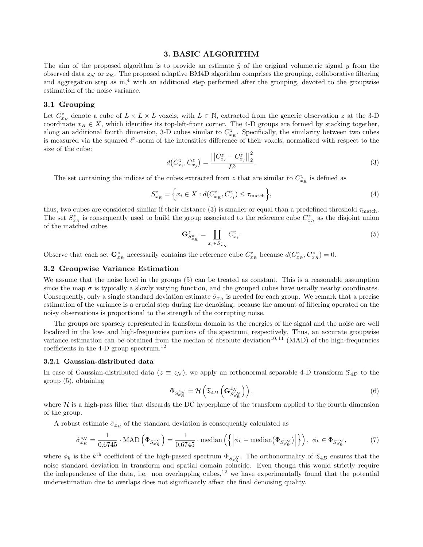## 3. BASIC ALGORITHM

The aim of the proposed algorithm is to provide an estimate  $\hat{y}$  of the original volumetric signal y from the observed data  $z_N$  or  $z_R$ . The proposed adaptive BM4D algorithm comprises the grouping, collaborative filtering and aggregation step as in, $4$  with an additional step performed after the grouping, devoted to the groupwise estimation of the noise variance.

### 3.1 Grouping

Let  $C_{x_R}^z$  denote a cube of  $L \times L \times L$  voxels, with  $L \in \mathbb{N}$ , extracted from the generic observation z at the 3-D coordinate  $x_R \in X$ , which identifies its top-left-front corner. The 4-D groups are formed by stacking together, along an additional fourth dimension, 3-D cubes similar to  $C_{x_R}^z$ . Specifically, the similarity between two cubes is measured via the squared  $\ell^2$ -norm of the intensities difference of their voxels, normalized with respect to the size of the cube:

$$
d(C_{x_i}^z, C_{x_j}^z) = \frac{||C_{x_i}^z - C_{x_j}^z||_2^2}{L^3}.
$$
\n(3)

The set containing the indices of the cubes extracted from z that are similar to  $C_{x_R}^z$  is defined as

$$
S_{x_R}^z = \left\{ x_i \in X : d(C_{x_R}^z, C_{x_i}^z) \le \tau_{\text{match}} \right\},\tag{4}
$$

thus, two cubes are considered similar if their distance (3) is smaller or equal than a predefined threshold  $\tau_{\text{match}}$ . The set  $S_{x_R}^z$  is consequently used to build the group associated to the reference cube  $C_{x_R}^z$  as the disjoint union of the matched cubes

$$
\mathbf{G}_{S_{x_R}^z}^z = \coprod_{x_i \in S_{x_R}^z} C_{x_i}^z.
$$
 (5)

Observe that each set  $\mathbf{G}_{x_R}^z$  necessarily contains the reference cube  $C_{x_R}^z$  because  $d(C_{x_R}^z, C_{x_R}^z) = 0$ .

## 3.2 Groupwise Variance Estimation

We assume that the noise level in the groups (5) can be treated as constant. This is a reasonable assumption since the map  $\sigma$  is typically a slowly varying function, and the grouped cubes have usually nearby coordinates. Consequently, only a single standard deviation estimate  $\hat{\sigma}_{x_R}$  is needed for each group. We remark that a precise estimation of the variance is a crucial step during the denoising, because the amount of filtering operated on the noisy observations is proportional to the strength of the corrupting noise.

The groups are sparsely represented in transform domain as the energies of the signal and the noise are well localized in the low- and high-frequencies portions of the spectrum, respectively. Thus, an accurate groupwise variance estimation can be obtained from the median of absolute deviation<sup>10,11</sup> (MAD) of the high-frequencies coefficients in the 4-D group spectrum.<sup>12</sup>

#### 3.2.1 Gaussian-distributed data

In case of Gaussian-distributed data ( $z \equiv z_N$ ), we apply an orthonormal separable 4-D transform  $\mathfrak{T}_{4D}$  to the group (5), obtaining

$$
\Phi_{S_{x_R}^{z_N}} = \mathcal{H}\left(\mathfrak{T}_{4D}\left(\mathbf{G}_{S_{x_R}^{z_N}}^{z_N}\right)\right),\tag{6}
$$

where  $H$  is a high-pass filter that discards the DC hyperplane of the transform applied to the fourth dimension of the group.

A robust estimate  $\hat{\sigma}_{x_R}$  of the standard deviation is consequently calculated as

$$
\hat{\sigma}_{x_R}^{z_N} = \frac{1}{0.6745} \cdot \text{MAD} \left( \Phi_{S_{x_R}^{z_N}} \right) = \frac{1}{0.6745} \cdot \text{median} \left( \left\{ \left| \phi_k - \text{median} \left( \Phi_{S_{x_R}^{z_N}} \right) \right| \right\} \right), \ \phi_k \in \Phi_{S_{x_R}^{z_N}},\tag{7}
$$

where  $\phi_k$  is the k<sup>th</sup> coefficient of the high-passed spectrum  $\Phi_{S_{x_R}^{z_N}}$ . The orthonormality of  $\mathfrak{T}_{4D}$  ensures that the noise standard deviation in transform and spatial domain coincide. Even though this would strictly require the independence of the data, i.e. non overlapping cubes,<sup>12</sup> we have experimentally found that the potential underestimation due to overlaps does not significantly affect the final denoising quality.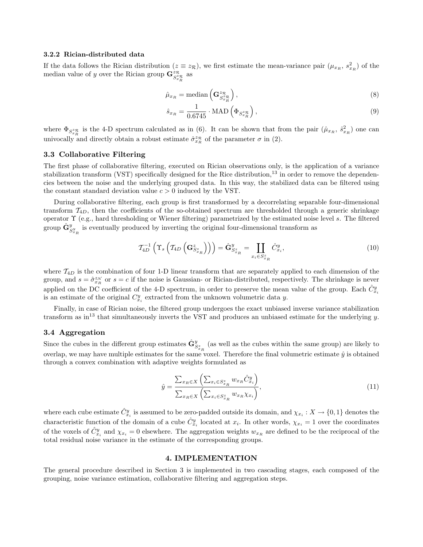#### 3.2.2 Rician-distributed data

If the data follows the Rician distribution  $(z \equiv z_{\mathcal{R}})$ , we first estimate the mean-variance pair  $(\mu_{x_R}, s_{x_R}^2)$  of the median value of y over the Rician group  $\mathbf{G}_{S_{x_R}^{z_R}}^{z_R}$  as

$$
\hat{\mu}_{x_R} = \text{median}\left(\mathbf{G}_{S_{x_R}^{z_R}}^{z_R}\right),\tag{8}
$$

$$
\hat{s}_{x_R} = \frac{1}{0.6745} \cdot \text{MAD} \left( \Phi_{S_{x_R}^{z_R}} \right),\tag{9}
$$

where  $\Phi_{S_{x_R}^{z_R}}$  is the 4-D spectrum calculated as in (6). It can be shown that from the pair  $(\hat{\mu}_{x_R}, \hat{s}_{x_R}^2)$  one can univocally and directly obtain a robust estimate  $\hat{\sigma}_{x_R}^{z_R}$  of the parameter  $\sigma$  in (2).

### 3.3 Collaborative Filtering

The first phase of collaborative filtering, executed on Rician observations only, is the application of a variance stabilization transform (VST) specifically designed for the Rice distribution,<sup>13</sup> in order to remove the dependencies between the noise and the underlying grouped data. In this way, the stabilized data can be filtered using the constant standard deviation value  $c > 0$  induced by the VST.

During collaborative filtering, each group is first transformed by a decorrelating separable four-dimensional transform  $\mathcal{T}_{4D}$ , then the coefficients of the so-obtained spectrum are thresholded through a generic shrinkage operator Υ (e.g., hard thresholding or Wiener filtering) parametrized by the estimated noise level s. The filtered group  $\hat{\mathbf{G}}^{y}_{S^{y}_{x_R}}$  is eventually produced by inverting the original four-dimensional transform as

$$
\mathcal{T}_{4D}^{-1}\left(\Upsilon_s\left(\mathcal{T}_{4D}\left(\mathbf{G}_{S_{x_R}^z}^{\zeta}\right)\right)\right) = \hat{\mathbf{G}}_{S_{x_R}^z}^y = \coprod_{x_i \in S_{x_R}^z} \hat{C}_{x_i}^y,\tag{10}
$$

where  $T_{4D}$  is the combination of four 1-D linear transform that are separately applied to each dimension of the group, and  $s = \hat{\sigma}_{x_R}^{z_N}$  or  $s = c$  if the noise is Gaussian- or Rician-distributed, respectively. The shrinkage is never applied on the DC coefficient of the 4-D spectrum, in order to preserve the mean value of the group. Each  $\hat{C}_{x_i}^y$ is an estimate of the original  $C_{x_i}^y$  extracted from the unknown volumetric data y.

Finally, in case of Rician noise, the filtered group undergoes the exact unbiased inverse variance stabilization transform as in<sup>13</sup> that simultaneously inverts the VST and produces an unbiased estimate for the underlying  $y$ .

# 3.4 Aggregation

Since the cubes in the different group estimates  $\hat{\mathbf{G}}_{S_{x_R}^x}^y$  (as well as the cubes within the same group) are likely to overlap, we may have multiple estimates for the same voxel. Therefore the final volumetric estimate  $\hat{y}$  is obtained through a convex combination with adaptive weights formulated as

$$
\hat{y} = \frac{\sum_{x_R \in X} \left( \sum_{x_i \in S_{x_R}^z} w_{x_R} \hat{C}_{x_i}^y \right)}{\sum_{x_R \in X} \left( \sum_{x_i \in S_{x_R}^z} w_{x_R} \chi_{x_i} \right)},\tag{11}
$$

where each cube estimate  $\hat{C}_{x_i}^y$  is assumed to be zero-padded outside its domain, and  $\chi_{x_i}: X \to \{0,1\}$  denotes the characteristic function of the domain of a cube  $\hat{C}_{x_i}^y$  located at  $x_i$ . In other words,  $\chi_{x_i} = 1$  over the coordinates of the voxels of  $\hat{C}_{x_i}^y$  and  $\chi_{x_i} = 0$  elsewhere. The aggregation weights  $w_{x_R}$  are defined to be the reciprocal of the total residual noise variance in the estimate of the corresponding groups.

## 4. IMPLEMENTATION

The general procedure described in Section 3 is implemented in two cascading stages, each composed of the grouping, noise variance estimation, collaborative filtering and aggregation steps.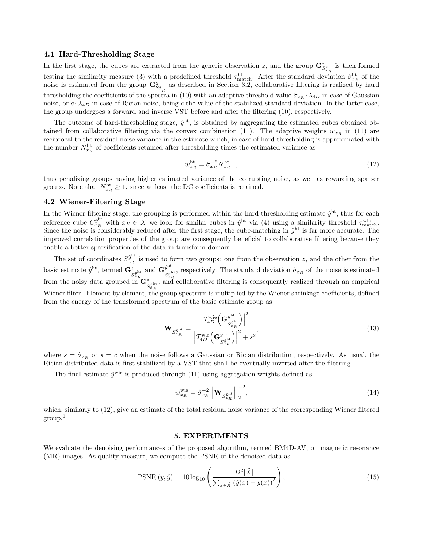## 4.1 Hard-Thresholding Stage

In the first stage, the cubes are extracted from the generic observation z, and the group  $\mathbf{G}_{S_{\tau,n}^{z}}^{z}$  is then formed testing the similarity measure (3) with a predefined threshold  $\tau_{\text{match}}^{\text{ht}}$ . After the standard deviation  $\hat{\sigma}_{x_R}^{\text{ht}}$  of the noise is estimated from the group  $\mathbf{G}_{S_{x_R}^z}^z$  as described in Section 3.2, collaborative filtering is realized by hard thresholding the coefficients of the spectra in (10) with an adaptive threshold value  $\hat{\sigma}_{x_R} \cdot \lambda_{4D}$  in case of Gaussian noise, or  $c \cdot \lambda_{4D}$  in case of Rician noise, being c the value of the stabilized standard deviation. In the latter case, the group undergoes a forward and inverse VST before and after the filtering (10), respectively.

The outcome of hard-thresholding stage,  $\hat{y}^{\text{ht}}$ , is obtained by aggregating the estimated cubes obtained obtained from collaborative filtering via the convex combination (11). The adaptive weights  $w_{x_R}$  in (11) are reciprocal to the residual noise variance in the estimate which, in case of hard thresholding is approximated with the number  $N_{x_R}^{\text{ht}}$  of coefficients retained after thresholding times the estimated variance as

$$
w_{x_R}^{\text{ht}} = \hat{\sigma}_{x_R}^{-2} N_{x_R}^{\text{ht}^{-1}},\tag{12}
$$

thus penalizing groups having higher estimated variance of the corrupting noise, as well as rewarding sparser groups. Note that  $N_{x_R}^{\text{ht}} \geq 1$ , since at least the DC coefficients is retained.

## 4.2 Wiener-Filtering Stage

In the Wiener-filtering stage, the grouping is performed within the hard-thresholding estimate  $\hat{y}^{\text{ht}}$ , thus for each reference cube  $C_{x_R}^{\hat{y}^{\text{ht}}}$  with  $x_R \in X$  we look for similar cubes in  $\hat{y}^{\text{ht}}$  via (4) using a similarity threshold  $\tau_{\text{match}}^{\text{wie}}$ . Since the noise is considerably reduced after the first stage, the cube-matching in  $\hat{y}^{\text{ht}}$  is far more accurate. The improved correlation properties of the group are consequently beneficial to collaborative filtering because they enable a better sparsification of the data in transform domain.

The set of coordinates  $S_{x_R}^{\hat{y}^{\text{ht}}}$  is used to form two groups: one from the observation z, and the other from the basic estimate  $\hat{y}^{\text{ht}}$ , termed  $\mathbf{G}^z_{S_{x_R}^{\hat{y}^{\text{ht}}}}$  and  $\mathbf{G}^{\hat{y}^{\text{ht}}}_{S_{x_i}^{\hat{y}^{\text{H}}}}$  $S_{x_R}^{\text{int}}$ , respectively. The standard deviation  $\hat{\sigma}_{x_R}$  of the noise is estimated from the noisy data grouped in  $\mathbf{G}^z_{S^{ght}_R}$ , and collaborative filtering is consequently realized through an empirical Wiener filter. Element by element, the group spectrum is multiplied by the Wiener shrinkage coefficients, defined from the energy of the transformed spectrum of the basic estimate group as

$$
\mathbf{W}_{S_{x_R}^{\hat{y}^{\text{ht}}}} = \frac{\left| T_{4D}^{\text{wie}} \left( \mathbf{G}_{S_{x_R}^{\hat{y}^{\text{ht}}}}^{\hat{y}^{\text{ht}}}\right) \right|^2}{\left| T_{4D}^{\text{wie}} \left( \mathbf{G}_{S_{x_R}^{\hat{y}^{\text{ht}}}}^{\hat{y}^{\text{ht}}}\right) \right|^2 + s^2},\tag{13}
$$

where  $s = \hat{\sigma}_{x_R}$  or  $s = c$  when the noise follows a Gaussian or Rician distribution, respectively. As usual, the Rician-distributed data is first stabilized by a VST that shall be eventually inverted after the filtering.

The final estimate  $\hat{y}^{\text{wie}}$  is produced through (11) using aggregation weights defined as

$$
w_{x_R}^{\text{wie}} = \hat{\sigma}_{x_R}^{-2} \left| \left| \mathbf{W}_{S_{x_R}^{\hat{y}^{\text{ht}}}} \right| \right|_2^{-2},\tag{14}
$$

which, similarly to (12), give an estimate of the total residual noise variance of the corresponding Wiener filtered  $\rm{group.}^1$ 

## 5. EXPERIMENTS

We evaluate the denoising performances of the proposed algorithm, termed BM4D-AV, on magnetic resonance (MR) images. As quality measure, we compute the PSNR of the denoised data as

$$
PSNR(y, \hat{y}) = 10 \log_{10} \left( \frac{D^2 |\tilde{X}|}{\sum_{x \in \tilde{X}} (\hat{y}(x) - y(x))^2} \right),
$$
\n(15)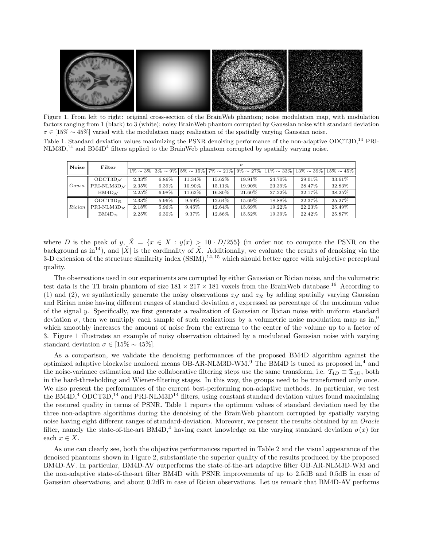

Figure 1. From left to right: original cross-section of the BrainWeb phantom; noise modulation map, with modulation factors ranging from 1 (black) to 3 (white); noisy BrainWeb phantom corrupted by Gaussian noise with standard deviation  $\sigma \in [15\% \sim 45\%]$  varied with the modulation map; realization of the spatially varying Gaussian noise.

| Table 1. Standard deviation values maximizing the PSNR denoising performance of the non-adaptive ODCT3D, <sup>14</sup> PRI- |  |  |  |  |  |
|-----------------------------------------------------------------------------------------------------------------------------|--|--|--|--|--|
| $NLM3D14$ and $BMAD4$ filters applied to the BrainWeb phantom corrupted by spatially varying noise.                         |  |  |  |  |  |

| Noise  | Filter                                        | $\sigma$ |          |        |         |        |        |                                                                                                                                                |        |  |
|--------|-----------------------------------------------|----------|----------|--------|---------|--------|--------|------------------------------------------------------------------------------------------------------------------------------------------------|--------|--|
|        |                                               |          |          |        |         |        |        | $1\% \sim 3\%$   $3\% \sim 9\%$   $5\% \sim 15\%$   $7\% \sim 21\%$   $9\% \sim 27\%$   $11\% \sim 33\%$   $13\% \sim 39\%$   $15\% \sim 45\%$ |        |  |
| Gauss. | $ODCT3D_{\Lambda}$                            | 2.33%    | $6.86\%$ | 11.34% | 15.62%  | 19.91% | 24.70% | 29.01\%                                                                                                                                        | 33.61% |  |
|        | PRI-NLM3D $_{\cal N}$                         | 2.35%    | 6.39%    | 10.90% | 15.11\% | 19.90% | 23.39% | 28.47%                                                                                                                                         | 32.83% |  |
|        | BM4D <sub>M</sub>                             | 2.25%    | 6.98%    | 11.62% | 16.80%  | 21.60% | 27.22% | 32.17%                                                                                                                                         | 38.25% |  |
| Rician | $ODCT3D_{R}$                                  | 2.33%    | 5.96%    | 9.59%  | 12.64%  | 15.69% | 18.88% | 22.37%                                                                                                                                         | 25.27% |  |
|        | PRI-NLM3D <sub><math>\mathcal{R}</math></sub> | 2.18%    | 5.96%    | 9.45%  | 12.64%  | 15.69% | 19.22% | 22.23%                                                                                                                                         | 25.49% |  |
|        | $BM4D_{\mathcal{R}}$                          | 2.25%    | $6.30\%$ | 9.37%  | 12.86%  | 15.52% | 19.39% | 22.42%                                                                                                                                         | 25.87% |  |

where D is the peak of y,  $\tilde{X} = \{x \in X : y(x) > 10 \cdot D/255\}$  (in order not to compute the PSNR on the background as in<sup>14</sup>), and  $|\tilde{X}|$  is the cardinality of  $\tilde{X}$ . Additionally, we evaluate the results of denoising via the 3-D extension of the structure similarity index  $(SSIM),<sup>14,15</sup>$  which should better agree with subjective perceptual quality.

The observations used in our experiments are corrupted by either Gaussian or Rician noise, and the volumetric test data is the T1 brain phantom of size  $181 \times 217 \times 181$  voxels from the BrainWeb database.<sup>16</sup> According to (1) and (2), we synthetically generate the noisy observations  $z_N$  and  $z_R$  by adding spatially varying Gaussian and Rician noise having different ranges of standard deviation  $\sigma$ , expressed as percentage of the maximum value of the signal y. Specifically, we first generate a realization of Gaussian or Rician noise with uniform standard deviation  $\sigma$ , then we multiply each sample of such realizations by a volumetric noise modulation map as in,<sup>9</sup> which smoothly increases the amount of noise from the extrema to the center of the volume up to a factor of 3. Figure 1 illustrates an example of noisy observation obtained by a modulated Gaussian noise with varying standard deviation  $\sigma \in [15\% \sim 45\%].$ 

As a comparison, we validate the denoising performances of the proposed BM4D algorithm against the optimized adaptive blockwise nonlocal means OB-AR-NLM3D-WM.<sup>9</sup> The BM4D is tuned as proposed in,<sup>4</sup> and the noise-variance estimation and the collaborative filtering steps use the same transform, i.e.  $\mathcal{T}_{4D} \equiv \mathcal{I}_{4D}$ , both in the hard-thresholding and Wiener-filtering stages. In this way, the groups need to be transformed only once. We also present the performances of the current best-performing non-adaptive methods. In particular, we test the BM4D,<sup>4</sup> ODCT3D,<sup>14</sup> and PRI-NLM3D<sup>14</sup> filters, using constant standard deviation values found maximizing the restored quality in terms of PSNR. Table 1 reports the optimum values of standard deviation used by the three non-adaptive algorithms during the denoising of the BrainWeb phantom corrupted by spatially varying noise having eight different ranges of standard-deviation. Moreover, we present the results obtained by an Oracle filter, namely the state-of-the-art BM4D,<sup>4</sup> having exact knowledge on the varying standard deviation  $\sigma(x)$  for each  $x \in X$ .

As one can clearly see, both the objective performances reported in Table 2 and the visual appearance of the denoised phantoms shown in Figure 2, substantiate the superior quality of the results produced by the proposed BM4D-AV. In particular, BM4D-AV outperforms the state-of-the-art adaptive filter OB-AR-NLM3D-WM and the non-adaptive state-of-the-art filter BM4D with PSNR improvements of up to 2.5dB and 0.5dB in case of Gaussian observations, and about 0.2dB in case of Rician observations. Let us remark that BM4D-AV performs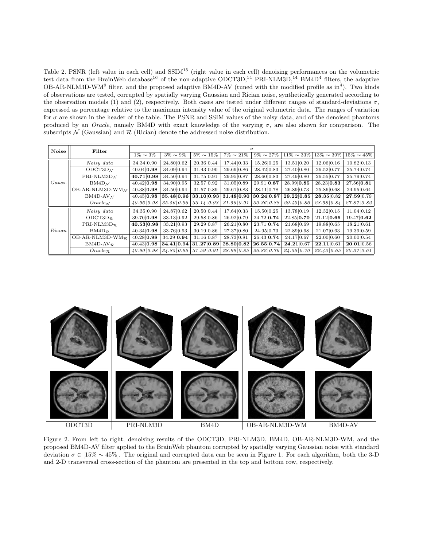Table 2. PSNR (left value in each cell) and  $SSIM<sup>15</sup>$  (right value in each cell) denoising performances on the volumetric test data from the BrainWeb database<sup>16</sup> of the non-adaptive ODCT3D,<sup>14</sup> PRI-NLM3D,<sup>14</sup> BM4D<sup>4</sup> filters, the adaptive OB-AR-NLM3D-WM<sup>9</sup> filter, and the proposed adaptive BM4D-AV (tuned with the modified profile as in<sup>4</sup>). Two kinds of observations are tested, corrupted by spatially varying Gaussian and Rician noise, synthetically generated according to the observation models (1) and (2), respectively. Both cases are tested under different ranges of standard-deviations  $\sigma$ , expressed as percentage relative to the maximum intensity value of the original volumetric data. The ranges of variation for  $\sigma$  are shown in the header of the table. The PSNR and SSIM values of the noisy data, and of the denoised phantoms produced by an *Oracle*, namely BM4D with exact knowledge of the varying  $\sigma$ , are also shown for comparison. The subscripts  $N$  (Gaussian) and  $R$  (Rician) denote the addressed noise distribution.

| Noise  | Filter                                        | $\sigma$       |                |                 |                 |                 |                  |                  |                  |  |  |
|--------|-----------------------------------------------|----------------|----------------|-----------------|-----------------|-----------------|------------------|------------------|------------------|--|--|
|        |                                               | $1\% \sim 3\%$ | $3\% \sim 9\%$ | $5\% \sim 15\%$ | $7\% \sim 21\%$ | $9\% \sim 27\%$ | $11\% \sim 33\%$ | $13\% \sim 39\%$ | $15\% \sim 45\%$ |  |  |
|        | Noisy data                                    | 34.34 0.90     | 24.80 0.62     | 20.36 0.44      | 17.44 0.33      | 15.26 0.25      | 13.51 0.20       | 12.06 0.16       | 10.82 0.13       |  |  |
|        | $ODCT3D_N$                                    | 40.04 0.98     | 34.09 0.94     | 31.43 0.90      | 29.69 0.86      | 28.42 0.83      | 27.40 0.80       | 26.52 0.77       | 25.74 0.74       |  |  |
|        | PRI-NLM3D $M$                                 | 40.71 0.98     | 34.50 0.94     | 31.75 0.91      | 29.95 0.87      | 28.60 0.83      | 27.49 0.80       | 26.55 0.77       | 25.79 0.74       |  |  |
| Gauss. | $BM4D_N$                                      | 40.42 0.98     | 34.90 0.95     | 32.57 0.92      | 31.05 0.89      | 29.91 0.87      | 28.99 0.85       | 28.23 0.83       | 27.56 0.81       |  |  |
|        | OB-AR-NLM3D-WM $_{\mathcal{N}}$               | 40.38 0.98     | 34.50 0.94     | 31.57 0.89      | 29.61 0.83      | 28.11 0.78      | 26.89 0.73       | 25.86 0.68       | 24.95 0.64       |  |  |
|        | $BM4D-AV_N$                                   | 40.45 0.98     | 35.48 0.96     | 33.10 0.93      | 31.48 0.90      | 30.24 0.87      | 29.22 0.85       | 28.35 0.82       | 27.59 0.79       |  |  |
|        | $Oracle_{\mathcal{N}}$                        | 40.96 0.98     | 35.56 0.96     | 33.14 0.93      | 31.56 0.91      | 30.36 0.88      | 29.40 0.86       | 28.58 0.84       | 27.87 0.82       |  |  |
|        | Noisy data                                    | 34.35 0.90     | 24.87 0.62     | 20.50 0.44      | 17.64 0.33      | 15.50 0.25      | 13.78 0.19       | 12.32 0.15       | 11.04 0.12       |  |  |
|        | ODCT3D $_{\mathcal{R}}$                       | 39.70 0.98     | 33.13 0.92     | 29.58 0.86      | 26.92 0.79      | 24.72 0.74      | 22.85 0.70       | 21.12 0.66       | 19.47 0.62       |  |  |
|        | PRI-NLM3D <sub><math>\mathcal{R}</math></sub> | 40.53 0.98     | 33.21 0.93     | 29.29 0.87      | 26.21 0.80      | 23.71 0.74      | 21.68 0.69       | 19.88 0.65       | 18.21 0.61       |  |  |
| Rician | $BM4D_{\mathcal{R}}$                          | 40.34 0.98     | 33.76 0.93     | 30.19 0.86      | 27.37 0.80      | 24.95 0.73      | 22.89 0.68       | 21.07 0.63       | 19.39 0.59       |  |  |
|        | OB-AR-NLM3D-WM $_{\mathcal{R}}$               | 40.28 0.98     | 34.29 0.94     | 31.16 0.87      | 28.73 0.81      | 26.43 0.74      | 24.17 0.67       | 22.00 0.60       | 20.00 0.54       |  |  |
|        | $BM4D-AV_{R}$                                 | 40.43 0.98     | 34.41 0.94     | 31.27 0.89      | 28.80 0.82      | 26.55 0.74      | 24.21 0.67       | 22.11 0.61       | 20.01 0.56       |  |  |
|        | $Oracle_{\mathcal{R}}$                        | 40.90 0.98     | 34.85 0.95     | 31.59 0.91      | 28.99   0.85    | 26.82 0.76      | 24.55 0.70       | 22.43 0.65       | 20.37 0.61       |  |  |



Figure 2. From left to right, denoising results of the ODCT3D, PRI-NLM3D, BM4D, OB-AR-NLM3D-WM, and the proposed BM4D-AV filter applied to the BrainWeb phantom corrupted by spatially varying Gaussian noise with standard deviation  $\sigma \in [15\% \sim 45\%]$ . The original and corrupted data can be seen in Figure 1. For each algorithm, both the 3-D and 2-D transversal cross-section of the phantom are presented in the top and bottom row, respectively.